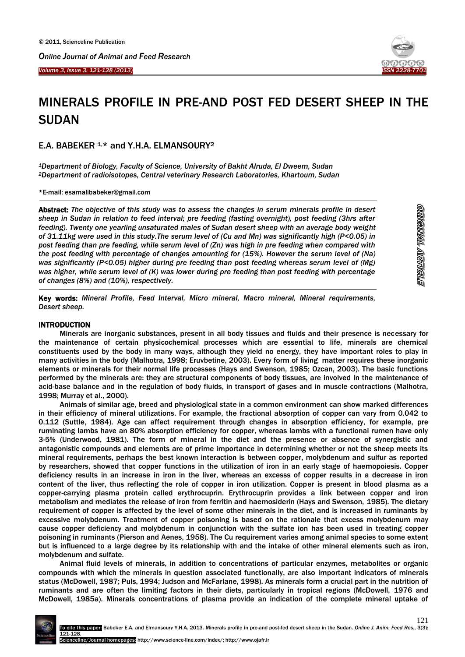Ï

1

-



# MINERALS PROFILE IN PRE-AND POST FED DESERT SHEEP IN THE SUDAN

E.A. BABEKER 1,\* and Y.H.A. ELMANSOURY<sup>2</sup>

*<sup>1</sup>Department of Biology, Faculty of Science, University of Bakht Alruda, El Dweem, Sudan <sup>2</sup>Department of radioisotopes, Central veterinary Research Laboratories, Khartoum, Sudan*

\*E-mail: [esamalibabeker@gmail.com](mailto:esamalibabeker@gmail.com)

Abstract: *The objective of this study was to assess the changes in serum minerals profile in desert sheep in Sudan in relation to feed interval; pre feeding (fasting overnight), post feeding (3hrs after feeding). Twenty one yearling unsaturated males of Sudan desert sheep with an average body weight of 31.11kg were used in this study.The serum level of (Cu and Mn) was significantly high (P<0.05) in post feeding than pre feeding, while serum level of (Zn) was high in pre feeding when compared with the post feeding with percentage of changes amounting for (15%). However the serum level of (Na) was significantly (P<0.05) higher during pre feeding than post feeding whereas serum level of (Mg) was higher, while serum level of (K) was lower during pre feeding than post feeding with percentage of changes (8%) and (10%), respectively.*

Key words: *Mineral Profile, Feed Interval, Micro mineral, Macro mineral, Mineral requirements, Desert sheep.* 

## INTRODUCTION

Minerals are inorganic substances, present in all body tissues and fluids and their presence is necessary for the maintenance of certain physicochemical processes which are essential to life, minerals are chemical constituents used by the body in many ways, although they yield no energy, they have important roles to play in many activities in the body (Malhotra, 1998; Eruvbetine, 2003). Every form of living matter requires these inorganic elements or minerals for their normal life processes (Hays and Swenson, 1985; Ozcan, 2003). The basic functions performed by the minerals are: they are structural components of body tissues, are involved in the maintenance of acid-base balance and in the regulation of body fluids, in transport of gases and in muscle contractions (Malhotra, 1998; Murray et al., 2000).

Animals of similar age, breed and physiological state in a common environment can show marked differences in their efficiency of mineral utilizations. For example, the fractional absorption of copper can vary from 0.042 to 0.112 (Suttle, 1984). Age can affect requirement through changes in absorption efficiency, for example, pre ruminating lambs have an 80% absorption efficiency for copper, whereas lambs with a functional rumen have only 3-5% (Underwood, 1981). The form of mineral in the diet and the presence or absence of synergistic and antagonistic compounds and elements are of prime importance in determining whether or not the sheep meets its mineral requirements, perhaps the best known interaction is between copper, molybdenum and sulfur as reported by researchers, showed that copper functions in the utilization of iron in an early stage of haemopoiesis. Copper deficiency results in an increase in iron in the liver, whereas an excesss of copper results in a decrease in iron content of the liver, thus reflecting the role of copper in iron utilization. Copper is present in blood plasma as a copper-carrying plasma protein called erythrocuprin. Erythrocuprin provides a link between copper and iron metabolism and mediates the release of iron from ferritin and haemosiderin (Hays and Swenson, 1985). The dietary requirement of copper is affected by the level of some other minerals in the diet, and is increased in ruminants by excessive molybdenum. Treatment of copper poisoning is based on the rationale that excess molybdenum may cause copper deficiency and molybdenum in conjunction with the sulfate ion has been used in treating copper poisoning in ruminants (Pierson and Aenes, 1958). The Cu requirement varies among animal species to some extent but is influenced to a large degree by its relationship with and the intake of other mineral elements such as iron, molybdenum and sulfate.

Animal fluid levels of minerals, in addition to concentrations of particular enzymes, metabolites or organic compounds with which the minerals in question associated functionally, are also important indicators of minerals status (McDowell, 1987; Puls, 1994; Judson and McFarlane, 1998). As minerals form a crucial part in the nutrition of ruminants and are often the limiting factors in their diets, particularly in tropical regions (McDowell, 1976 and McDowell, 1985a). Minerals concentrations of plasma provide an indication of the complete mineral uptake of

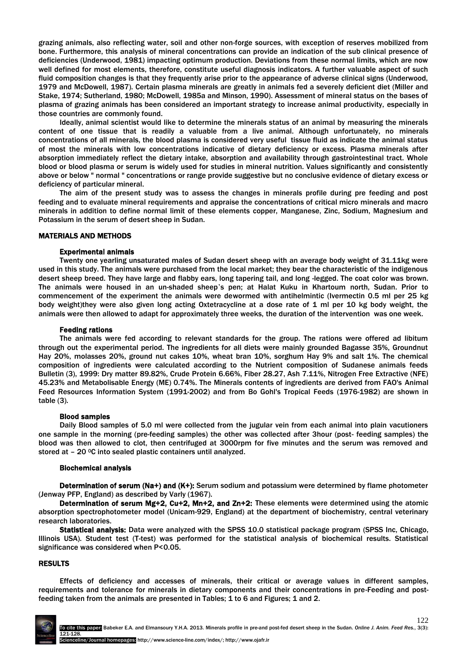grazing animals, also reflecting water, soil and other non-forge sources, with exception of reserves mobilized from bone. Furthermore, this analysis of mineral concentrations can provide an indication of the sub clinical presence of deficiencies (Underwood, 1981) impacting optimum production. Deviations from these normal limits, which are now well defined for most elements, therefore, constitute useful diagnosis indicators. A further valuable aspect of such fluid composition changes is that they frequently arise prior to the appearance of adverse clinical signs (Underwood, 1979 and McDowell, 1987). Certain plasma minerals are greatly in animals fed a severely deficient diet (Miller and Stake, 1974; Sutherland, 1980; McDowell, 1985a and Minson, 1990). Assessment of mineral status on the bases of plasma of grazing animals has been considered an important strategy to increase animal productivity, especially in those countries are commonly found.

Ideally, animal scientist would like to determine the minerals status of an animal by measuring the minerals content of one tissue that is readily a valuable from a live animal. Although unfortunately, no minerals concentrations of all minerals, the blood plasma is considered very useful tissue fluid as indicate the animal status of most the minerals with low concentrations indicative of dietary deficiency or excess. Plasma minerals after absorption immediately reflect the dietary intake, absorption and availability through gastrointestinal tract. Whole blood or blood plasma or serum is widely used for studies in mineral nutrition. Values significantly and consistently above or below " normal " concentrations or range provide suggestive but no conclusive evidence of dietary excess or deficiency of particular mineral.

The aim of the present study was to assess the changes in minerals profile during pre feeding and post feeding and to evaluate mineral requirements and appraise the concentrations of critical micro minerals and macro minerals in addition to define normal limit of these elements copper, Manganese, Zinc, Sodium, Magnesium and Potassium in the serum of desert sheep in Sudan.

## MATERIALS AND METHODS

#### Experimental animals

Twenty one yearling unsaturated males of Sudan desert sheep with an average body weight of 31.11kg were used in this study. The animals were purchased from the local market; they bear the characteristic of the indigenous desert sheep breed. They have large and flabby ears, long tapering tail, and long -legged. The coat color was brown. The animals were housed in an un-shaded sheep's pen; at Halat Kuku in Khartoum north, Sudan. Prior to commencement of the experiment the animals were dewormed with antihelmintic (Ivermectin 0.5 ml per 25 kg body weight)they were also given long acting Oxtetracycline at a dose rate of 1 ml per 10 kg body weight, the animals were then allowed to adapt for approximately three weeks, the duration of the intervention was one week.

#### Feeding rations

The animals were fed according to relevant standards for the group. The rations were offered ad libitum through out the experimental period. The ingredients for all diets were mainly grounded Bagasse 35%, Groundnut Hay 20%, molasses 20%, ground nut cakes 10%, wheat bran 10%, sorghum Hay 9% and salt 1%. The chemical composition of ingredients were calculated according to the Nutrient composition of Sudanese animals feeds Bulletin (3), 1999: Dry matter 89.82%, Crude Protein 6.66%, Fiber 28.27, Ash 7.11%, Nitrogen Free Extractive (NFE) 45.23% and Metabolisable Energy (ME) 0.74%. The Minerals contents of ingredients are derived from FAO's [Animal](http://www.fao.org/ag/AGA/AGAP/FRG/afris/default.htm)  [Feed Resources Information System](http://www.fao.org/ag/AGA/AGAP/FRG/afris/default.htm) (1991-2002) and from Bo Gohl's Tropical Feeds (1976-1982) are shown in table (3).

#### Blood samples

Daily Blood samples of 5.0 ml were collected from the jugular vein from each animal into plain vacutioners one sample in the morning (pre-feeding samples) the other was collected after 3hour (post- feeding samples) the blood was then allowed to clot, then centrifuged at 3000rpm for five minutes and the serum was removed and stored at - 20 °C into sealed plastic containers until analyzed.

## Biochemical analysis

Determination of serum (Na+) and (K+): Serum sodium and potassium were determined by flame photometer (Jenway PFP, England) as described by Varly (1967).

Determination of serum Mg+2, Cu+2, Mn+2, and Zn+2: These elements were determined using the atomic absorption spectrophotometer model (Unicam-929, England) at the department of biochemistry, central veterinary research laboratories.

Statistical analysis: Data were analyzed with the SPSS 10.0 statistical package program (SPSS Inc, Chicago, Illinois USA). Student test (T-test) was performed for the statistical analysis of biochemical results. Statistical significance was considered when P<0.05.

## RESULTS

Effects of deficiency and accesses of minerals, their critical or average values in different samples, requirements and tolerance for minerals in dietary components and their concentrations in pre-Feeding and postfeeding taken from the animals are presented in Tables; 1 to 6 and Figures; 1 and 2.

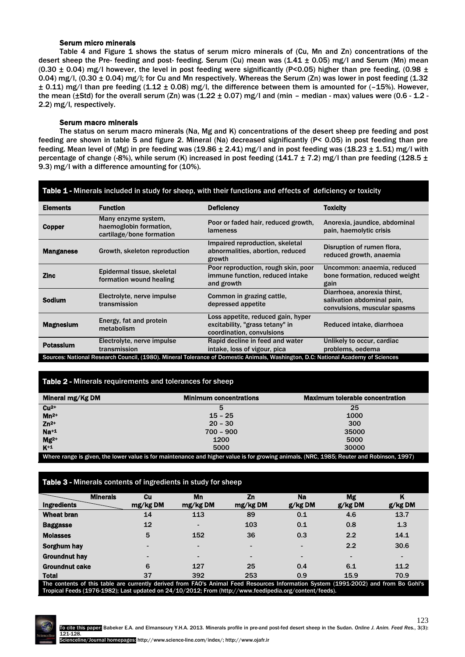#### Serum micro minerals

Table 4 and Figure 1 shows the status of serum micro minerals of (Cu, Mn and Zn) concentrations of the desert sheep the Pre- feeding and post- feeding. Serum (Cu) mean was (1.41 ± 0.05) mg/l and Serum (Mn) mean (0.30  $\pm$  0.04) mg/l however, the level in post feeding were significantly (P<0.05) higher than pre feeding, (0.98  $\pm$ 0.04) mg/l, (0.30  $\pm$  0.04) mg/l; for Cu and Mn respectively. Whereas the Serum (Zn) was lower in post feeding (1.32  $\pm$  0.11) mg/l than pre feeding (1.12  $\pm$  0.08) mg/l, the difference between them is amounted for (-15%). However, the mean ( $\pm$ Std) for the overall serum (Zn) was (1.22  $\pm$  0.07) mg/l and (min – median - max) values were (0.6 - 1.2 -2.2) mg/l, respectively.

#### Serum macro minerals

The status on serum macro minerals (Na, Mg and K) concentrations of the desert sheep pre feeding and post feeding are shown in table 5 and figure 2. Mineral (Na) decreased significantly (P< 0.05) in post feeding than pre feeding. Mean level of (Mg) in pre feeding was  $(19.86 \pm 2.41)$  mg/l and in post feeding was  $(18.23 \pm 1.51)$  mg/l with percentage of change (-8%), while serum (K) increased in post feeding (141.7  $\pm$  7.2) mg/l than pre feeding (128.5  $\pm$ 9.3) mg/l with a difference amounting for (10%).

| Table 1 - Minerals included in study for sheep, with their functions and effects of deficiency or toxicity                       |                                                                           |                                                                                                    |                                                                                           |  |  |  |  |  |
|----------------------------------------------------------------------------------------------------------------------------------|---------------------------------------------------------------------------|----------------------------------------------------------------------------------------------------|-------------------------------------------------------------------------------------------|--|--|--|--|--|
| <b>Elements</b>                                                                                                                  | <b>Function</b>                                                           | <b>Deficiency</b>                                                                                  | <b>Toxicity</b>                                                                           |  |  |  |  |  |
| Copper                                                                                                                           | Many enzyme system,<br>haemoglobin formation,<br>cartilage/bone formation | Poor or faded hair, reduced growth,<br>lameness                                                    | Anorexia, jaundice, abdominal<br>pain, haemolytic crisis                                  |  |  |  |  |  |
| <b>Manganese</b>                                                                                                                 | Growth, skeleton reproduction                                             | Impaired reproduction, skeletal<br>abnormalities, abortion, reduced<br>growth                      | Disruption of rumen flora,<br>reduced growth, anaemia                                     |  |  |  |  |  |
| <b>Zinc</b>                                                                                                                      | Epidermal tissue, skeletal<br>formation wound healing                     | Poor reproduction, rough skin, poor<br>immune function, reduced intake<br>and growth               | Uncommon: anaemia, reduced<br>bone formation, reduced weight<br>gain                      |  |  |  |  |  |
| <b>Sodium</b>                                                                                                                    | Electrolyte, nerve impulse<br>transmission                                | Common in grazing cattle,<br>depressed appetite                                                    | Diarrhoea, anorexia thirst,<br>salivation abdominal pain,<br>convulsions, muscular spasms |  |  |  |  |  |
| <b>Magnesium</b>                                                                                                                 | Energy, fat and protein<br>metabolism                                     | Loss appetite, reduced gain, hyper<br>excitability, "grass tetany" in<br>coordination, convulsions | Reduced intake, diarrhoea                                                                 |  |  |  |  |  |
| Potassium                                                                                                                        | Electrolyte, nerve impulse<br>transmission                                | Rapid decline in feed and water<br>intake, loss of vigour, pica                                    | Unlikely to occur, cardiac<br>problems, oedema                                            |  |  |  |  |  |
| Sources: National Research Council, (1980). Mineral Tolerance of Domestic Animals, Washington, D.C: National Academy of Sciences |                                                                           |                                                                                                    |                                                                                           |  |  |  |  |  |

#### Table 2 - Minerals requirements and tolerances for sheep

| Mineral mg/Kg DM                                                                                                                         | <b>Minimum concentrations</b> | <b>Maximum tolerable concentration</b> |  |  |  |  |  |
|------------------------------------------------------------------------------------------------------------------------------------------|-------------------------------|----------------------------------------|--|--|--|--|--|
| $Cu2+$                                                                                                                                   |                               | 25                                     |  |  |  |  |  |
| $Mn^{2+}$                                                                                                                                | $15 - 25$                     | 1000                                   |  |  |  |  |  |
| $Zn^{2+}$                                                                                                                                | $20 - 30$                     | 300                                    |  |  |  |  |  |
| $Na+1$                                                                                                                                   | $700 - 900$                   | 35000                                  |  |  |  |  |  |
| $Mg^{2+}$                                                                                                                                | 1200                          | 5000                                   |  |  |  |  |  |
| $K+1$                                                                                                                                    | 5000                          | 30000                                  |  |  |  |  |  |
| Where range is given, the lower value is for maintenance and higher value is for growing animals. (NRC, 1985; Reuter and Robinson, 1997) |                               |                                        |  |  |  |  |  |

## Table 3 - Minerals contents of ingredients in study for sheep

| <b>Minerals</b>                                                                                                                      | <b>Cu</b>                | Mn                       | Zn                       | Na             | <b>Mg</b> | K              |
|--------------------------------------------------------------------------------------------------------------------------------------|--------------------------|--------------------------|--------------------------|----------------|-----------|----------------|
| Ingredients                                                                                                                          | mg/kg DM                 | mg/kg DM                 | mg/kg DM                 | $g/kg$ DM      | $g/kg$ DM | g/kgDM         |
| <b>Wheat bran</b>                                                                                                                    | 14                       | 113                      | 89                       | 0.1            | 4.6       | 13.7           |
| <b>Baggasse</b>                                                                                                                      | 12                       | $\overline{\phantom{a}}$ | 103                      | 0.1            | 0.8       | 1.3            |
| <b>Molasses</b>                                                                                                                      | 5                        | 152                      | 36                       | 0.3            | 2.2       | 14.1           |
| Sorghum hay                                                                                                                          | $\overline{\phantom{0}}$ | $\overline{\phantom{a}}$ | $\overline{\phantom{0}}$ | $\blacksquare$ | 2.2       | 30.6           |
| <b>Groundnut hay</b>                                                                                                                 |                          | $\blacksquare$           | $\blacksquare$           | $\blacksquare$ |           | $\blacksquare$ |
| <b>Groundnut cake</b>                                                                                                                | 6                        | 127                      | 25                       | 0.4            | 6.1       | 11.2           |
| <b>Total</b>                                                                                                                         | 37                       | 392                      | 253                      | 0.9            | 15.9      | 70.9           |
| The contents of this table are currently deviced from FAQIs Animal Food Descurses Information Custome (4004.0000) and from De Cablle |                          |                          |                          |                |           |                |

The contents of this table are currently derived from FAO's [Animal Feed Resources Information System](http://www.fao.org/ag/AGA/AGAP/FRG/afris/default.htm) (1991-2002) and from Bo Gohl's Tropical Feeds (1976-1982); Last updated on 24/10/2012; From (http://www.feedipedia.org/content/feeds).

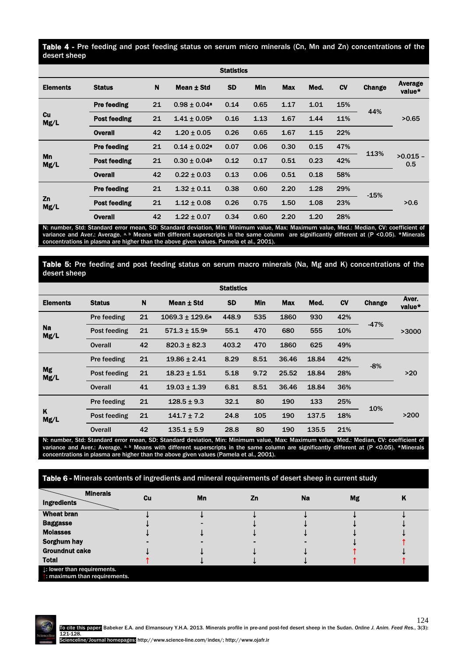## Table 4 - Pre feeding and post feeding status on serum micro minerals (Cn, Mn and Zn) concentrations of the desert sheep

| <b>Statistics</b> |                     |    |                              |           |      |            |      |           |        |                          |
|-------------------|---------------------|----|------------------------------|-----------|------|------------|------|-----------|--------|--------------------------|
| <b>Elements</b>   | <b>Status</b>       | N  | Mean $\pm$ Std               | <b>SD</b> | Min  | <b>Max</b> | Med. | <b>CV</b> | Change | <b>Average</b><br>value* |
|                   | <b>Pre feeding</b>  | 21 | $0.98 \pm 0.04$ <sup>a</sup> | 0.14      | 0.65 | 1.17       | 1.01 | 15%       | 44%    | >0.65                    |
| Cu<br>Mg/L        | Post feeding        | 21 | $1.41 \pm 0.05$ <sup>b</sup> | 0.16      | 1.13 | 1.67       | 1.44 | 11%       |        |                          |
|                   | <b>Overall</b>      | 42 | $1.20 \pm 0.05$              | 0.26      | 0.65 | 1.67       | 1.15 | 22%       |        |                          |
| Mn<br>Mg/L        | <b>Pre feeding</b>  | 21 | $0.14 \pm 0.02$ <sup>a</sup> | 0.07      | 0.06 | 0.30       | 0.15 | 47%       | 113%   | $>0.015 -$<br>0.5        |
|                   | <b>Post feeding</b> | 21 | $0.30 \pm 0.04$ <sup>b</sup> | 0.12      | 0.17 | 0.51       | 0.23 | 42%       |        |                          |
|                   | <b>Overall</b>      | 42 | $0.22 \pm 0.03$              | 0.13      | 0.06 | 0.51       | 0.18 | 58%       |        |                          |
| Zn<br>Mg/L        | <b>Pre feeding</b>  | 21 | $1.32 \pm 0.11$              | 0.38      | 0.60 | 2.20       | 1.28 | 29%       | $-15%$ | >0.6                     |
|                   | <b>Post feeding</b> | 21 | $1.12 \pm 0.08$              | 0.26      | 0.75 | 1.50       | 1.08 | 23%       |        |                          |
|                   | <b>Overall</b>      | 42 | $1.22 \pm 0.07$              | 0.34      | 0.60 | 2.20       | 1.20 | 28%       |        |                          |

N: number, Std: Standard error mean, SD: Standard deviation, Min: Minimum value, Max: Maximum value, Med.: Median, CV: coefficient of variance and Aver.: Average. a, b Means with different superscripts in the same column are significantly different at (P <0.05). \*Minerals concentrations in plasma are higher than the above given values. Pamela et al., 2001).

## Table 5: Pre feeding and post feeding status on serum macro minerals (Na, Mg and K) concentrations of the desert sheep

| <b>Statistics</b> |                |    |                               |           |      |            |       |           |        |                 |
|-------------------|----------------|----|-------------------------------|-----------|------|------------|-------|-----------|--------|-----------------|
| <b>Elements</b>   | <b>Status</b>  | N  | Mean ± Std                    | <b>SD</b> | Min  | <b>Max</b> | Med.  | <b>CV</b> | Change | Aver.<br>value* |
| <b>Na</b><br>Mg/L | Pre feeding    | 21 | $1069.3 \pm 129.6$ a          | 448.9     | 535  | 1860       | 930   | 42%       |        |                 |
|                   | Post feeding   | 21 | $571.3 \pm 15.9$ <sup>b</sup> | 55.1      | 470  | 680        | 555   | 10%       | $-47%$ | >3000           |
|                   | <b>Overall</b> | 42 | $820.3 \pm 82.3$              | 403.2     | 470  | 1860       | 625   | 49%       |        |                 |
| <b>Mg</b><br>Mg/L | Pre feeding    | 21 | $19.86 \pm 2.41$              | 8.29      | 8.51 | 36.46      | 18.84 | 42%       | $-8%$  | >20             |
|                   | Post feeding   | 21 | $18.23 \pm 1.51$              | 5.18      | 9.72 | 25.52      | 18.84 | 28%       |        |                 |
|                   | Overall        | 41 | $19.03 \pm 1.39$              | 6.81      | 8.51 | 36.46      | 18.84 | 36%       |        |                 |
| K<br>Mg/L         | Pre feeding    | 21 | $128.5 \pm 9.3$               | 32.1      | 80   | 190        | 133   | 25%       | 10%    |                 |
|                   | Post feeding   | 21 | $141.7 \pm 7.2$               | 24.8      | 105  | 190        | 137.5 | 18%       |        | >200            |
|                   | <b>Overall</b> | 42 | $135.1 \pm 5.9$               | 28.8      | 80   | 190        | 135.5 | 21%       |        |                 |

N: number, Std: Standard error mean, SD: Standard deviation, Min: Minimum value, Max: Maximum value, Med.: Median, CV: coefficient of variance and Aver.: Average. a, b Means with different superscripts in the same column are significantly different at (P <0.05). \*Minerals concentrations in plasma are higher than the above given values (Pamela et al., 2001).

## Table 6 - Minerals contents of ingredients and mineral requirements of desert sheep in current study

| <b>Minerals</b><br>Ingredients                                          | Cu | Mn | <b>Zn</b> | <b>Na</b> | <b>Mg</b> | n |
|-------------------------------------------------------------------------|----|----|-----------|-----------|-----------|---|
| Wheat bran                                                              |    |    |           |           |           |   |
| <b>Baggasse</b>                                                         |    |    |           |           |           |   |
| <b>Molasses</b>                                                         |    |    |           |           |           |   |
| Sorghum hay                                                             |    |    |           |           |           |   |
| <b>Groundnut cake</b>                                                   |    |    |           |           |           |   |
| <b>Total</b>                                                            |    |    |           |           |           |   |
| $\downarrow$ : lower than requirements.<br>: maximum than requirements. |    |    |           |           |           |   |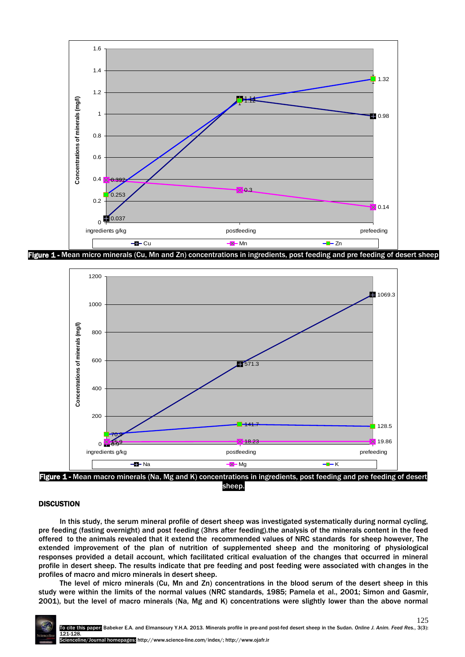



## sheep.

## **DISCUSTION**

In this study, the serum mineral profile of desert sheep was investigated systematically during normal cycling, pre feeding (fasting overnight) and post feeding (3hrs after feeding).the analysis of the minerals content in the feed offered to the animals revealed that it extend the recommended values of NRC standards for sheep however, The extended improvement of the plan of nutrition of supplemented sheep and the monitoring of physiological responses provided a detail account, which facilitated critical evaluation of the changes that occurred in mineral profile in desert sheep. The results indicate that pre feeding and post feeding were associated with changes in the profiles of macro and micro minerals in desert sheep.

The level of micro minerals (Cu, Mn and Zn) concentrations in the blood serum of the desert sheep in this study were within the limits of the normal values (NRC standards, 1985; Pamela et al., 2001; Simon and Gasmir, 2001), but the level of macro minerals (Na, Mg and K) concentrations were slightly lower than the above normal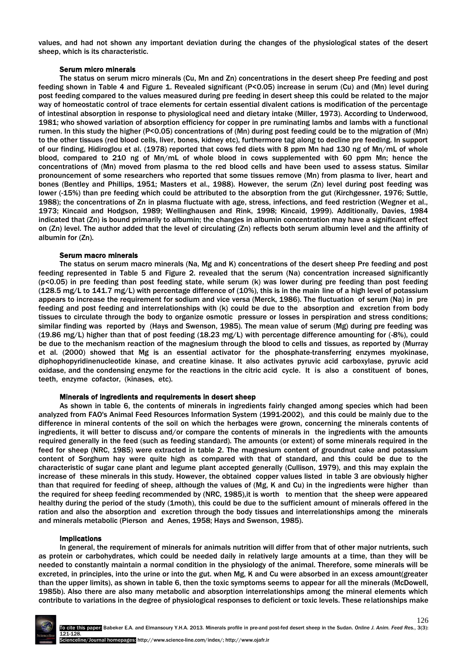values, and had not shown any important deviation during the changes of the physiological states of the desert sheep, which is its characteristic.

#### Serum micro minerals

The status on serum micro minerals (Cu, Mn and Zn) concentrations in the desert sheep Pre feeding and post feeding shown in Table 4 and Figure 1. Revealed significant (P<0.05) increase in serum (Cu) and (Mn) level during post feeding compared to the values measured during pre feeding in desert sheep this could be related to the major way of homeostatic control of trace elements for certain essential divalent cations is modification of the percentage of intestinal absorption in response to physiological need and dietary intake (Miller, 1973). According to Underwood, 1981; who showed variation of absorption efficiency for copper in pre ruminating lambs and lambs with a functional rumen. In this study the higher (P<0.05) concentrations of (Mn) during post feeding could be to the migration of (Mn) to the other tissues (red blood cells, liver, bones, kidney etc), furthermore tag along to decline pre feeding. In support of our finding, Hidiroglou et al. (1978) reported that cows fed diets with 8 ppm Mn had 130 ng of Mn/mL of whole blood, compared to 210 ng of Mn/mL of whole blood in cows supplemented with 60 ppm Mn; hence the concentrations of (Mn) moved from plasma to the red blood cells and have been used to assess status. Similar pronouncement of some researchers who reported that some tissues remove (Mn) from plasma to liver, heart and bones (Bentley and Phillips, 1951; Masters et al., 1988). However, the serum (Zn) level during post feeding was lower (-15%) than pre feeding which could be attributed to the absorption from the gut (Kirchgessner, 1976; Suttle, 1988); the concentrations of Zn in plasma fluctuate with age, stress, infections, and feed restriction (Wegner et al., 1973; Kincaid and Hodgson, 1989; Wellinghausen and Rink, 1998; Kincaid, 1999). Additionally, Davies, 1984 indicated that (Zn) is bound primarily to albumin; the changes in albumin concentration may have a significant effect on (Zn) level. The author added that the level of circulating (Zn) reflects both serum albumin level and the affinity of albumin for (Zn).

#### Serum macro minerals

The status on serum macro minerals (Na, Mg and K) concentrations of the desert sheep Pre feeding and post feeding represented in Table 5 and Figure 2. revealed that the serum (Na) concentration increased significantly (p<0.05) in pre feeding than post feeding state, while serum (k) was lower during pre feeding than post feeding (128.5 mg/L to 141.7 mg/L) with percentage difference of (10%), this is in the main line of a high level of potassium appears to increase the requirement for sodium and vice versa (Merck, 1986). The fluctuation of serum (Na) in pre feeding and post feeding and interrelationships with (k) could be due to the absorption and excretion from body tissues to circulate through the body to organize osmotic pressure or losses in perspiration and stress conditions; similar finding was reported by (Hays and Swenson, 1985). The mean value of serum (Mg) during pre feeding was (19.86 mg/L) higher than that of post feeding (18.23 mg/L) with percentage difference amounting for (-8%), could be due to the mechanism reaction of the magnesium through the blood to cells and tissues, as reported by (Murray et al. (2000) showed that Mg is an essential activator for the phosphate-transferring enzymes myokinase, diphophopyridinenucleotide kinase, and creatine kinase. It also activates pyruvic acid carboxylase, pyruvic acid oxidase, and the condensing enzyme for the reactions in the citric acid cycle. It is also a constituent of bones, teeth, enzyme cofactor, (kinases, etc).

#### Minerals of ingredients and requirements in desert sheep

As shown in table 6, the contents of minerals in ingredients fairly changed among species which had been analyzed from FAO's [Animal Feed Resources Information System](http://www.fao.org/ag/AGA/AGAP/FRG/afris/default.htm) (1991-2002), and this could be mainly due to the difference in mineral contents of the soil on which the herbages were grown, concerning the minerals contents of ingredients, it will better to discuss and/or compare the contents of minerals in the ingredients with the amounts required generally in the feed (such as feeding standard). The amounts (or extent) of some minerals required in the feed for sheep (NRC, 1985) were extracted in table 2. The magnesium content of groundnut cake and potassium content of Sorghum hay were quite high as compared with that of standard, and this could be due to the characteristic of sugar cane plant and legume plant accepted generally (Cullison, 1979), and this may explain the increase of these minerals in this study. However, the obtained copper values listed in table 3 are obviously higher than that required for feeding of sheep, although the values of (Mg, K and Cu) in the ingredients were higher than the required for sheep feeding recommended by (NRC, 1985),it is worth to mention that the sheep were appeared healthy during the period of the study (1moth), this could be due to the sufficient amount of minerals offered in the ration and also the absorption and excretion through the body tissues and interrelationships among the minerals and minerals metabolic (Pierson and Aenes, 1958; Hays and Swenson, 1985).

#### Implications

In general, the requirement of minerals for animals nutrition will differ from that of other major nutrients, such as protein or carbohydrates, which could be needed daily in relatively large amounts at a time, than they will be needed to constantly maintain a normal condition in the physiology of the animal. Therefore, some minerals will be excreted, in principles, into the urine or into the gut. when Mg, K and Cu were absorbed in an excess amount(greater than the upper limits), as shown in table 6, then the toxic symptoms seems to appear for all the minerals (McDowell, 1985b). Also there are also many metabolic and absorption interrelationships among the mineral elements which contribute to variations in the degree of physiological responses to deficient or toxic levels. These relationships make

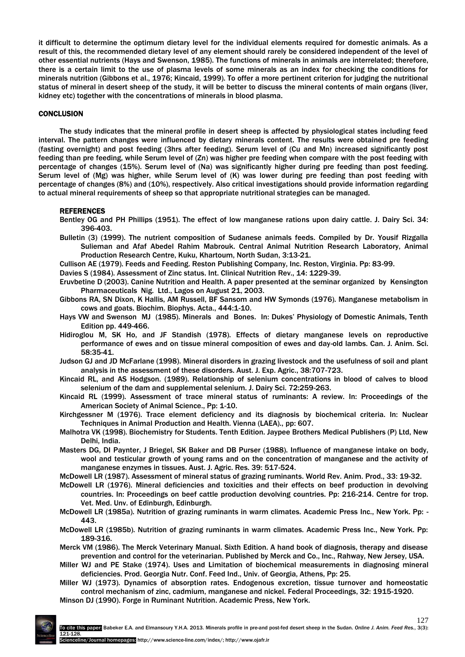it difficult to determine the optimum dietary level for the individual elements required for domestic animals. As a result of this, the recommended dietary level of any element should rarely be considered independent of the level of other essential nutrients (Hays and Swenson, 1985). The functions of minerals in animals are interrelated; therefore, there is a certain limit to the use of plasma levels of some minerals as an index for checking the conditions for minerals nutrition (Gibbons et al., 1976; Kincaid, 1999). To offer a more pertinent criterion for judging the nutritional status of mineral in desert sheep of the study, it will be better to discuss the mineral contents of main organs (liver, kidney etc) together with the concentrations of minerals in blood plasma.

## **CONCLUSION**

The study indicates that the mineral profile in desert sheep is affected by physiological states including feed interval. The pattern changes were influenced by dietary minerals content. The results were obtained pre feeding (fasting overnight) and post feeding (3hrs after feeding). Serum level of (Cu and Mn) increased significantly post feeding than pre feeding, while Serum level of (Zn) was higher pre feeding when compare with the post feeding with percentage of changes (15%). Serum level of (Na) was significantly higher during pre feeding than post feeding. Serum level of (Mg) was higher, while Serum level of (K) was lower during pre feeding than post feeding with percentage of changes (8%) and (10%), respectively. Also critical investigations should provide information regarding to actual mineral requirements of sheep so that appropriate nutritional strategies can be managed.

## **REFERENCES**

Bentley OG and PH Phillips (1951). The effect of low manganese rations upon dairy cattle. J. Dairy Sci. 34: 396-403.

Bulletin (3) (1999). The nutrient composition of Sudanese animals feeds. Compiled by Dr. Yousif Rizgalla Sulieman and Afaf Abedel Rahim Mabrouk. Central Animal Nutrition Research Laboratory, Animal Production Research Centre, Kuku, Khartoum, North Sudan, 3:13-21.

Cullison AE (1979). Feeds and Feeding. Reston Publishing Company, Inc. Reston, Virginia. Pp: 83-99.

Davies S (1984). Assessment of Zinc status. Int. Clinical Nutrition Rev., 14: 1229-39.

- Eruvbetine D (2003). Canine Nutrition and Health. A paper presented at the seminar organized by Kensington Pharmaceuticals Nig. Ltd., Lagos on August 21, 2003.
- Gibbons RA, SN Dixon, K Hallis, AM Russell, BF Sansom and HW Symonds (1976). Manganese metabolism in cows and goats. Biochim. Biophys. Acta., 444:1-10.
- Hays VW and Swenson MJ (1985). Minerals and Bones. In: Dukes' Physiology of Domestic Animals, Tenth Edition pp. 449-466.
- Hidiroglou M, SK Ho, and JF Standish (1978). Effects of dietary manganese levels on reproductive performance of ewes and on tissue mineral composition of ewes and day-old lambs. Can. J. Anim. Sci. 58:35-41.
- Judson GJ and JD McFarlane (1998). Mineral disorders in grazing livestock and the usefulness of soil and plant analysis in the assessment of these disorders. Aust. J. Exp. Agric., 38:707-723.
- Kincaid RL, and AS Hodgson. (1989). Relationship of selenium concentrations in blood of calves to blood selenium of the dam and supplemental selenium. J. Dairy Sci. 72:259-263.
- Kincaid RL (1999). Assessment of trace mineral status of ruminants: A review. In: Proceedings of the American Society of Animal Science., Pp: 1-10.

Kirchgessner M (1976). Trace element deficiency and its diagnosis by biochemical criteria. In: Nuclear Techniques in Animal Production and Health. Vienna (LAEA)., pp: 607.

- Malhotra VK (1998). Biochemistry for Students. Tenth Edition. Jaypee Brothers Medical Publishers (P) Ltd, New Delhi, India.
- Masters DG, DI Paynter, J Briegel, SK Baker and DB Purser (1988). Influence of manganese intake on body, wool and testicular growth of young rams and on the concentration of manganese and the activity of manganese enzymes in tissues. Aust. J. Agric. Res. 39: 517-524.
- McDowell LR (1987). Assessment of mineral status of grazing ruminants. World Rev. Anim. Prod., 33: 19-32.
- McDowell LR (1976). Mineral deficiencies and toxicities and their effects on beef production in devolving countries. In: Proceedings on beef cattle production devolving countries. Pp: 216-214. Centre for trop. Vet. Med. Unv. of Edinburgh, Edinburgh.
- McDowell LR (1985a). Nutrition of grazing ruminants in warm climates. Academic Press Inc., New York. Pp: 443.
- McDowell LR (1985b). Nutrition of grazing ruminants in warm climates. Academic Press Inc., New York. Pp: 189-316.
- Merck VM (1986). The Merck Veterinary Manual. Sixth Edition. A hand book of diagnosis, therapy and disease prevention and control for the veterinarian. Published by Merck and Co., Inc., Rahway, New Jersey, USA.
- Miller WJ and PE Stake (1974). Uses and Limitation of biochemical measurements in diagnosing mineral deficiencies. Prod. Georgia Nutr. Conf. Feed Ind., Univ. of Georgia, Athens, Pp: 25.
- Miller WJ (1973). Dynamics of absorption rates. Endogenous excretion, tissue turnover and homeostatic control mechanism of zinc, cadmium, manganese and nickel. Federal Proceedings, 32: 1915-1920.